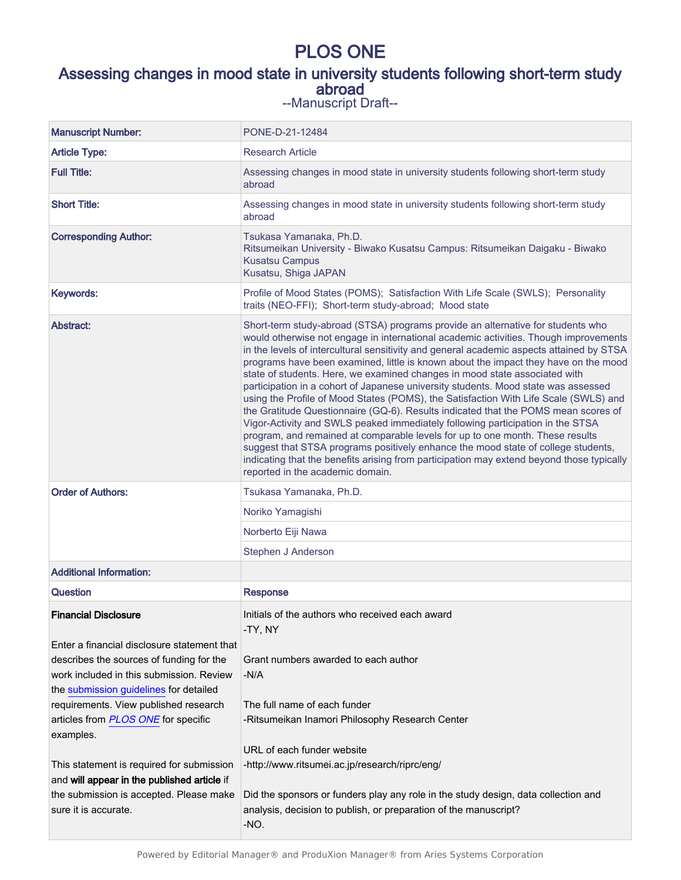# PLOS ONE

### Assessing changes in mood state in university students following short-term study abroad

--Manuscript Draft--

| <b>Manuscript Number:</b>                                                       | PONE-D-21-12484                                                                                                                                                                                                                                                                                                                                                                                                                                                                                                                                                                                                                                                                                                                                                                                                                                                                                                                                                                                                                                                                                       |  |  |  |  |
|---------------------------------------------------------------------------------|-------------------------------------------------------------------------------------------------------------------------------------------------------------------------------------------------------------------------------------------------------------------------------------------------------------------------------------------------------------------------------------------------------------------------------------------------------------------------------------------------------------------------------------------------------------------------------------------------------------------------------------------------------------------------------------------------------------------------------------------------------------------------------------------------------------------------------------------------------------------------------------------------------------------------------------------------------------------------------------------------------------------------------------------------------------------------------------------------------|--|--|--|--|
| <b>Article Type:</b>                                                            | <b>Research Article</b>                                                                                                                                                                                                                                                                                                                                                                                                                                                                                                                                                                                                                                                                                                                                                                                                                                                                                                                                                                                                                                                                               |  |  |  |  |
| <b>Full Title:</b>                                                              | Assessing changes in mood state in university students following short-term study<br>abroad                                                                                                                                                                                                                                                                                                                                                                                                                                                                                                                                                                                                                                                                                                                                                                                                                                                                                                                                                                                                           |  |  |  |  |
| <b>Short Title:</b>                                                             | Assessing changes in mood state in university students following short-term study<br>abroad                                                                                                                                                                                                                                                                                                                                                                                                                                                                                                                                                                                                                                                                                                                                                                                                                                                                                                                                                                                                           |  |  |  |  |
| <b>Corresponding Author:</b>                                                    | Tsukasa Yamanaka, Ph.D.<br>Ritsumeikan University - Biwako Kusatsu Campus: Ritsumeikan Daigaku - Biwako<br><b>Kusatsu Campus</b><br>Kusatsu, Shiga JAPAN                                                                                                                                                                                                                                                                                                                                                                                                                                                                                                                                                                                                                                                                                                                                                                                                                                                                                                                                              |  |  |  |  |
| Keywords:                                                                       | Profile of Mood States (POMS); Satisfaction With Life Scale (SWLS); Personality<br>traits (NEO-FFI); Short-term study-abroad; Mood state                                                                                                                                                                                                                                                                                                                                                                                                                                                                                                                                                                                                                                                                                                                                                                                                                                                                                                                                                              |  |  |  |  |
| Abstract:                                                                       | Short-term study-abroad (STSA) programs provide an alternative for students who<br>would otherwise not engage in international academic activities. Though improvements<br>in the levels of intercultural sensitivity and general academic aspects attained by STSA<br>programs have been examined, little is known about the impact they have on the mood<br>state of students. Here, we examined changes in mood state associated with<br>participation in a cohort of Japanese university students. Mood state was assessed<br>using the Profile of Mood States (POMS), the Satisfaction With Life Scale (SWLS) and<br>the Gratitude Questionnaire (GQ-6). Results indicated that the POMS mean scores of<br>Vigor-Activity and SWLS peaked immediately following participation in the STSA<br>program, and remained at comparable levels for up to one month. These results<br>suggest that STSA programs positively enhance the mood state of college students,<br>indicating that the benefits arising from participation may extend beyond those typically<br>reported in the academic domain. |  |  |  |  |
| <b>Order of Authors:</b>                                                        | Tsukasa Yamanaka, Ph.D.                                                                                                                                                                                                                                                                                                                                                                                                                                                                                                                                                                                                                                                                                                                                                                                                                                                                                                                                                                                                                                                                               |  |  |  |  |
|                                                                                 | Noriko Yamagishi                                                                                                                                                                                                                                                                                                                                                                                                                                                                                                                                                                                                                                                                                                                                                                                                                                                                                                                                                                                                                                                                                      |  |  |  |  |
|                                                                                 | Norberto Eiji Nawa                                                                                                                                                                                                                                                                                                                                                                                                                                                                                                                                                                                                                                                                                                                                                                                                                                                                                                                                                                                                                                                                                    |  |  |  |  |
|                                                                                 | Stephen J Anderson                                                                                                                                                                                                                                                                                                                                                                                                                                                                                                                                                                                                                                                                                                                                                                                                                                                                                                                                                                                                                                                                                    |  |  |  |  |
| <b>Additional Information:</b>                                                  |                                                                                                                                                                                                                                                                                                                                                                                                                                                                                                                                                                                                                                                                                                                                                                                                                                                                                                                                                                                                                                                                                                       |  |  |  |  |
| <b>Question</b>                                                                 | <b>Response</b>                                                                                                                                                                                                                                                                                                                                                                                                                                                                                                                                                                                                                                                                                                                                                                                                                                                                                                                                                                                                                                                                                       |  |  |  |  |
| <b>Financial Disclosure</b>                                                     | Initials of the authors who received each award<br>-TY, NY                                                                                                                                                                                                                                                                                                                                                                                                                                                                                                                                                                                                                                                                                                                                                                                                                                                                                                                                                                                                                                            |  |  |  |  |
| Enter a financial disclosure statement that                                     |                                                                                                                                                                                                                                                                                                                                                                                                                                                                                                                                                                                                                                                                                                                                                                                                                                                                                                                                                                                                                                                                                                       |  |  |  |  |
| describes the sources of funding for the                                        | Grant numbers awarded to each author                                                                                                                                                                                                                                                                                                                                                                                                                                                                                                                                                                                                                                                                                                                                                                                                                                                                                                                                                                                                                                                                  |  |  |  |  |
| work included in this submission. Review                                        | $-N/A$                                                                                                                                                                                                                                                                                                                                                                                                                                                                                                                                                                                                                                                                                                                                                                                                                                                                                                                                                                                                                                                                                                |  |  |  |  |
| the submission guidelines for detailed<br>requirements. View published research | The full name of each funder                                                                                                                                                                                                                                                                                                                                                                                                                                                                                                                                                                                                                                                                                                                                                                                                                                                                                                                                                                                                                                                                          |  |  |  |  |
| articles from PLOS ONE for specific                                             | -Ritsumeikan Inamori Philosophy Research Center                                                                                                                                                                                                                                                                                                                                                                                                                                                                                                                                                                                                                                                                                                                                                                                                                                                                                                                                                                                                                                                       |  |  |  |  |
| examples.                                                                       |                                                                                                                                                                                                                                                                                                                                                                                                                                                                                                                                                                                                                                                                                                                                                                                                                                                                                                                                                                                                                                                                                                       |  |  |  |  |
|                                                                                 | URL of each funder website                                                                                                                                                                                                                                                                                                                                                                                                                                                                                                                                                                                                                                                                                                                                                                                                                                                                                                                                                                                                                                                                            |  |  |  |  |
| This statement is required for submission                                       | -http://www.ritsumei.ac.jp/research/riprc/eng/                                                                                                                                                                                                                                                                                                                                                                                                                                                                                                                                                                                                                                                                                                                                                                                                                                                                                                                                                                                                                                                        |  |  |  |  |
| and will appear in the published article if                                     |                                                                                                                                                                                                                                                                                                                                                                                                                                                                                                                                                                                                                                                                                                                                                                                                                                                                                                                                                                                                                                                                                                       |  |  |  |  |
| the submission is accepted. Please make                                         | Did the sponsors or funders play any role in the study design, data collection and                                                                                                                                                                                                                                                                                                                                                                                                                                                                                                                                                                                                                                                                                                                                                                                                                                                                                                                                                                                                                    |  |  |  |  |
| sure it is accurate.                                                            | analysis, decision to publish, or preparation of the manuscript?<br>$-NO.$                                                                                                                                                                                                                                                                                                                                                                                                                                                                                                                                                                                                                                                                                                                                                                                                                                                                                                                                                                                                                            |  |  |  |  |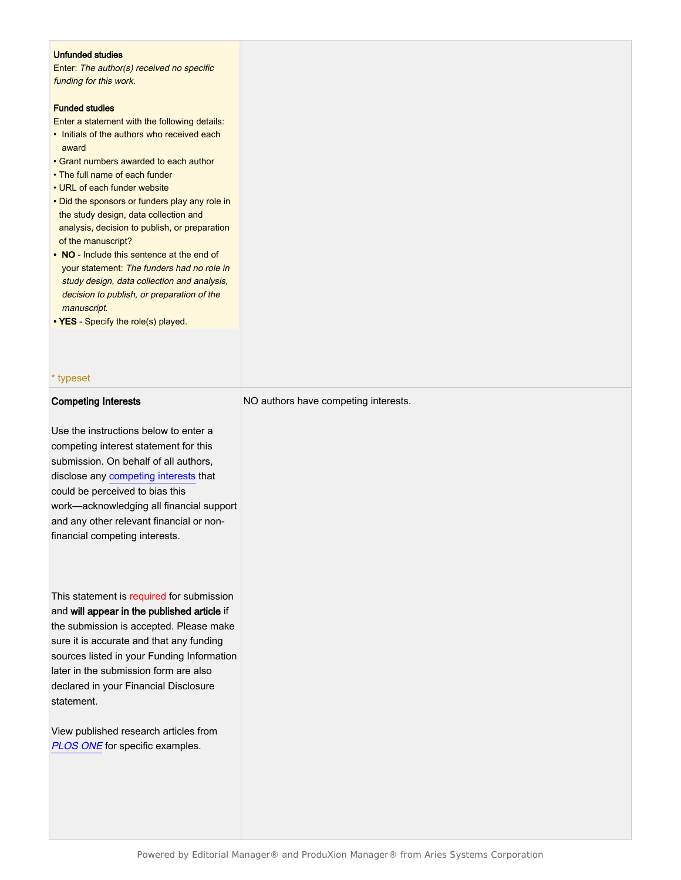#### Unfunded studies

Enter: The author(s) received no specific funding for this work.

#### Funded studies

- Enter a statement with the following details: • Initials of the authors who received each
- award
- Grant numbers awarded to each author
- The full name of each funder
- URL of each funder website
- Did the sponsors or funders play any role in the study design, data collection and analysis, decision to publish, or preparation of the manuscript?
- NO Include this sentence at the end of your statement: The funders had no role in study design, data collection and analysis, decision to publish, or preparation of the manuscript.
- YES Specify the role(s) played.

#### \* typeset

#### Competing Interests

Use the instructions below to enter a competing interest statement for this submission. On behalf of all authors, disclose any [competing interests](http://journals.plos.org/plosone/s/competing-interests) that could be perceived to bias this work—acknowledging all financial support and any other relevant financial or nonfinancial competing interests.

This statement is required for submission and will appear in the published article if the submission is accepted. Please make sure it is accurate and that any funding sources listed in your Funding Information later in the submission form are also declared in your Financial Disclosure statement.

View published research articles from [PLOS ONE](http://journals.plos.org/plosone/) for specific examples.

NO authors have competing interests.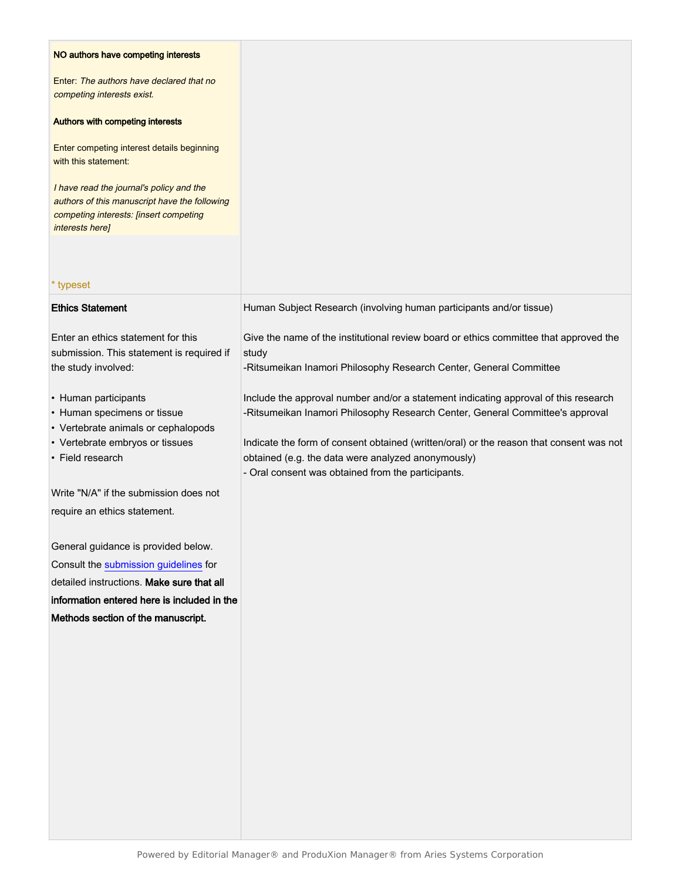| NO authors have competing interests<br>Enter: The authors have declared that no<br>competing interests exist.<br>Authors with competing interests<br>Enter competing interest details beginning<br>with this statement:<br>I have read the journal's policy and the<br>authors of this manuscript have the following<br>competing interests: [insert competing<br>interests here]<br>* typeset |                                                                                                                                                                                                                                                                                                                                                                             |
|------------------------------------------------------------------------------------------------------------------------------------------------------------------------------------------------------------------------------------------------------------------------------------------------------------------------------------------------------------------------------------------------|-----------------------------------------------------------------------------------------------------------------------------------------------------------------------------------------------------------------------------------------------------------------------------------------------------------------------------------------------------------------------------|
| <b>Ethics Statement</b>                                                                                                                                                                                                                                                                                                                                                                        | Human Subject Research (involving human participants and/or tissue)                                                                                                                                                                                                                                                                                                         |
| Enter an ethics statement for this<br>submission. This statement is required if<br>the study involved:                                                                                                                                                                                                                                                                                         | Give the name of the institutional review board or ethics committee that approved the<br>study<br>-Ritsumeikan Inamori Philosophy Research Center, General Committee                                                                                                                                                                                                        |
| • Human participants<br>• Human specimens or tissue<br>• Vertebrate animals or cephalopods<br>• Vertebrate embryos or tissues<br>• Field research                                                                                                                                                                                                                                              | Include the approval number and/or a statement indicating approval of this research<br>-Ritsumeikan Inamori Philosophy Research Center, General Committee's approval<br>Indicate the form of consent obtained (written/oral) or the reason that consent was not<br>obtained (e.g. the data were analyzed anonymously)<br>- Oral consent was obtained from the participants. |
| Write "N/A" if the submission does not                                                                                                                                                                                                                                                                                                                                                         |                                                                                                                                                                                                                                                                                                                                                                             |
| require an ethics statement.                                                                                                                                                                                                                                                                                                                                                                   |                                                                                                                                                                                                                                                                                                                                                                             |
| General guidance is provided below.                                                                                                                                                                                                                                                                                                                                                            |                                                                                                                                                                                                                                                                                                                                                                             |
| Consult the submission guidelines for                                                                                                                                                                                                                                                                                                                                                          |                                                                                                                                                                                                                                                                                                                                                                             |
| detailed instructions. Make sure that all                                                                                                                                                                                                                                                                                                                                                      |                                                                                                                                                                                                                                                                                                                                                                             |
| information entered here is included in the                                                                                                                                                                                                                                                                                                                                                    |                                                                                                                                                                                                                                                                                                                                                                             |
| Methods section of the manuscript.                                                                                                                                                                                                                                                                                                                                                             |                                                                                                                                                                                                                                                                                                                                                                             |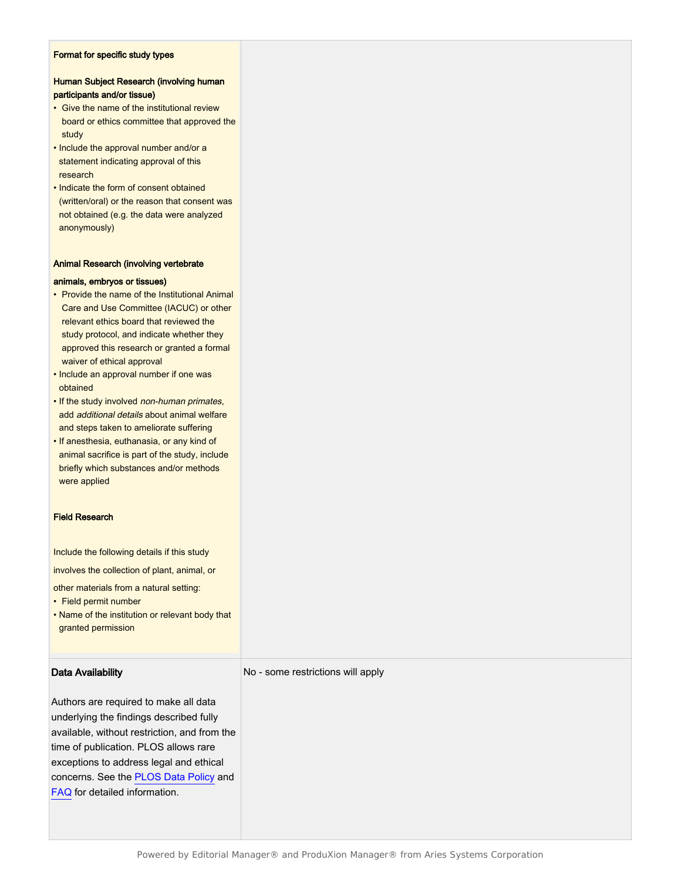#### Format for specific study types

#### Human Subject Research (involving human participants and/or tissue)

- Give the name of the institutional review board or ethics committee that approved the study
- Include the approval number and/or a statement indicating approval of this research
- Indicate the form of consent obtained (written/oral) or the reason that consent was not obtained (e.g. the data were analyzed anonymously)

#### Animal Research (involving vertebrate

#### animals, embryos or tissues)

- Provide the name of the Institutional Animal Care and Use Committee (IACUC) or other relevant ethics board that reviewed the study protocol, and indicate whether they approved this research or granted a formal waiver of ethical approval
- Include an approval number if one was obtained
- If the study involved non-human primates, add additional details about animal welfare and steps taken to ameliorate suffering
- If anesthesia, euthanasia, or any kind of animal sacrifice is part of the study, include briefly which substances and/or methods were applied

#### Field Research

Include the following details if this study involves the collection of plant, animal, or other materials from a natural setting:

- Field permit number
- Name of the institution or relevant body that granted permission

#### Data Availability

No - some restrictions will apply

Authors are required to make all data underlying the findings described fully available, without restriction, and from the time of publication. PLOS allows rare exceptions to address legal and ethical concerns. See the [PLOS Data Policy](http://journals.plos.org/plosone/s/data-availability) and [FAQ](http://journals.plos.org/plosone/s/data-availability#loc-faqs-for-data-policy) for detailed information.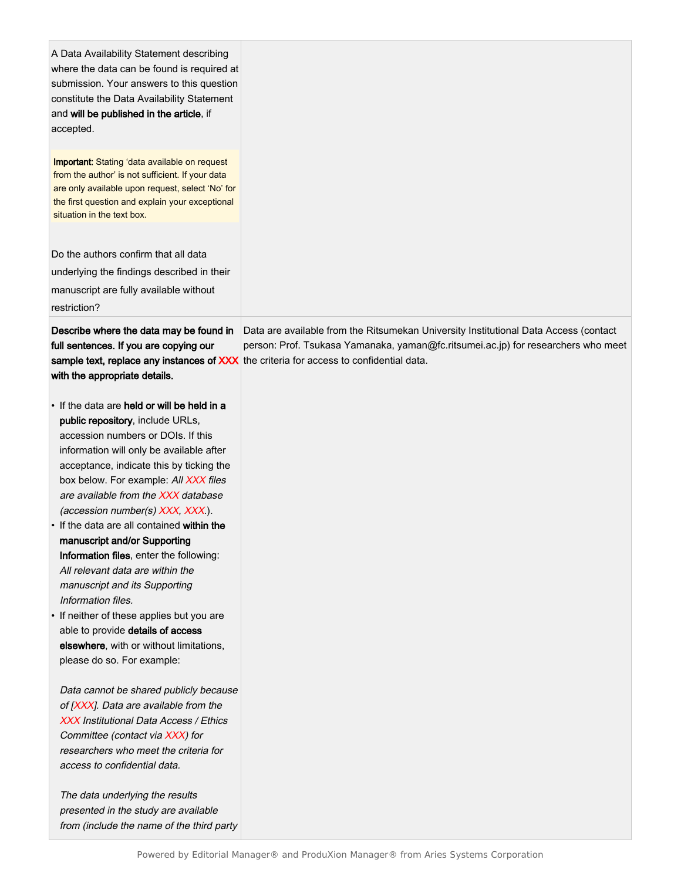| A Data Availability Statement describing<br>where the data can be found is required at<br>submission. Your answers to this question<br>constitute the Data Availability Statement<br>and will be published in the article, if<br>accepted.                                                                                                                                                                                                                                                                                                                                                                                                                                                                                                                                                                                                                                                                                                                                                                                                  |                                                                                                                                                                                                                                                                      |
|---------------------------------------------------------------------------------------------------------------------------------------------------------------------------------------------------------------------------------------------------------------------------------------------------------------------------------------------------------------------------------------------------------------------------------------------------------------------------------------------------------------------------------------------------------------------------------------------------------------------------------------------------------------------------------------------------------------------------------------------------------------------------------------------------------------------------------------------------------------------------------------------------------------------------------------------------------------------------------------------------------------------------------------------|----------------------------------------------------------------------------------------------------------------------------------------------------------------------------------------------------------------------------------------------------------------------|
| <b>Important:</b> Stating 'data available on request<br>from the author' is not sufficient. If your data<br>are only available upon request, select 'No' for<br>the first question and explain your exceptional<br>situation in the text box.                                                                                                                                                                                                                                                                                                                                                                                                                                                                                                                                                                                                                                                                                                                                                                                               |                                                                                                                                                                                                                                                                      |
| Do the authors confirm that all data<br>underlying the findings described in their<br>manuscript are fully available without<br>restriction?                                                                                                                                                                                                                                                                                                                                                                                                                                                                                                                                                                                                                                                                                                                                                                                                                                                                                                |                                                                                                                                                                                                                                                                      |
| Describe where the data may be found in<br>full sentences. If you are copying our<br>with the appropriate details.                                                                                                                                                                                                                                                                                                                                                                                                                                                                                                                                                                                                                                                                                                                                                                                                                                                                                                                          | Data are available from the Ritsumekan University Institutional Data Access (contact<br>person: Prof. Tsukasa Yamanaka, yaman@fc.ritsumei.ac.jp) for researchers who meet<br>sample text, replace any instances of XXX the criteria for access to confidential data. |
| • If the data are held or will be held in a<br>public repository, include URLs,<br>accession numbers or DOIs. If this<br>information will only be available after<br>acceptance, indicate this by ticking the<br>box below. For example: All XXX files<br>are available from the XXX database<br>(accession number(s) XXX, XXX.).<br>. If the data are all contained within the<br>manuscript and/or Supporting<br>Information files, enter the following:<br>All relevant data are within the<br>manuscript and its Supporting<br>Information files.<br>• If neither of these applies but you are<br>able to provide details of access<br>elsewhere, with or without limitations,<br>please do so. For example:<br>Data cannot be shared publicly because<br>of [XXX]. Data are available from the<br><b>XXX Institutional Data Access / Ethics</b><br>Committee (contact via XXX) for<br>researchers who meet the criteria for<br>access to confidential data.<br>The data underlying the results<br>presented in the study are available |                                                                                                                                                                                                                                                                      |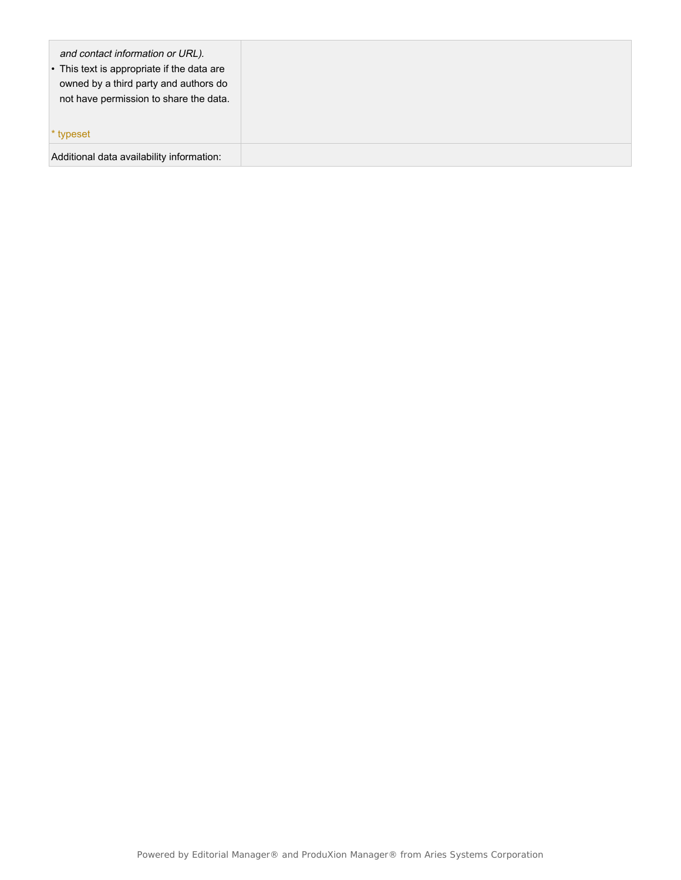| and contact information or URL).<br>• This text is appropriate if the data are<br>owned by a third party and authors do<br>not have permission to share the data. |  |  |
|-------------------------------------------------------------------------------------------------------------------------------------------------------------------|--|--|
| * typeset                                                                                                                                                         |  |  |
| Additional data availability information:                                                                                                                         |  |  |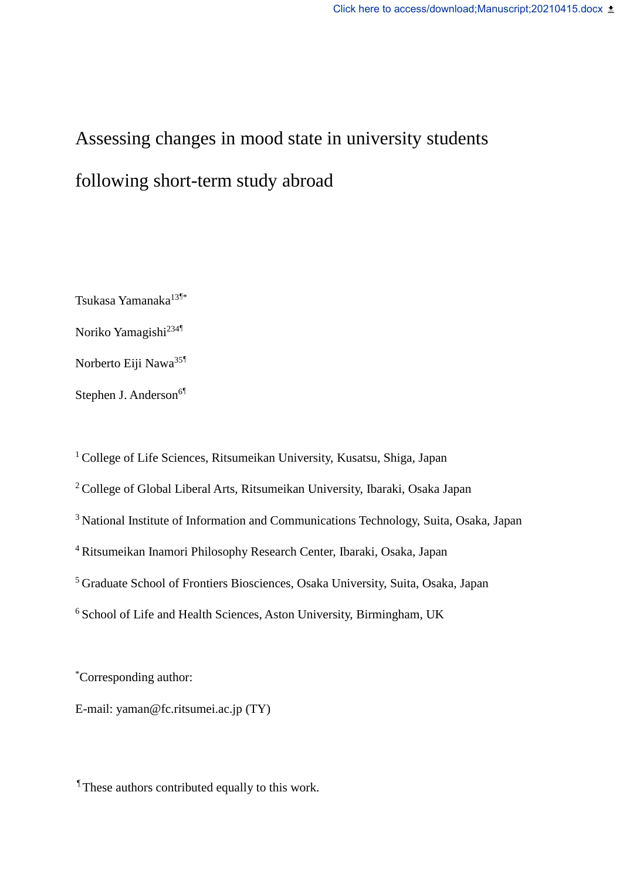# Assessing changes in mood state in university students following short-term study abroad

Tsukasa Yamanaka<sup>13¶\*</sup> Noriko Yamagishi<sup>234¶</sup> Norberto Eiji Nawa<sup>35¶</sup> Stephen J. Anderson<sup>6¶</sup>

 College of Life Sciences, Ritsumeikan University, Kusatsu, Shiga, Japan College of Global Liberal Arts, Ritsumeikan University, Ibaraki, Osaka Japan <sup>3</sup> National Institute of Information and Communications Technology, Suita, Osaka, Japan Ritsumeikan Inamori Philosophy Research Center, Ibaraki, Osaka, Japan Graduate School of Frontiers Biosciences, Osaka University, Suita, Osaka, Japan School of Life and Health Sciences, Aston University, Birmingham, UK

\*Corresponding author:

E-mail: yaman@fc.ritsumei.ac.jp (TY)

¶These authors contributed equally to this work.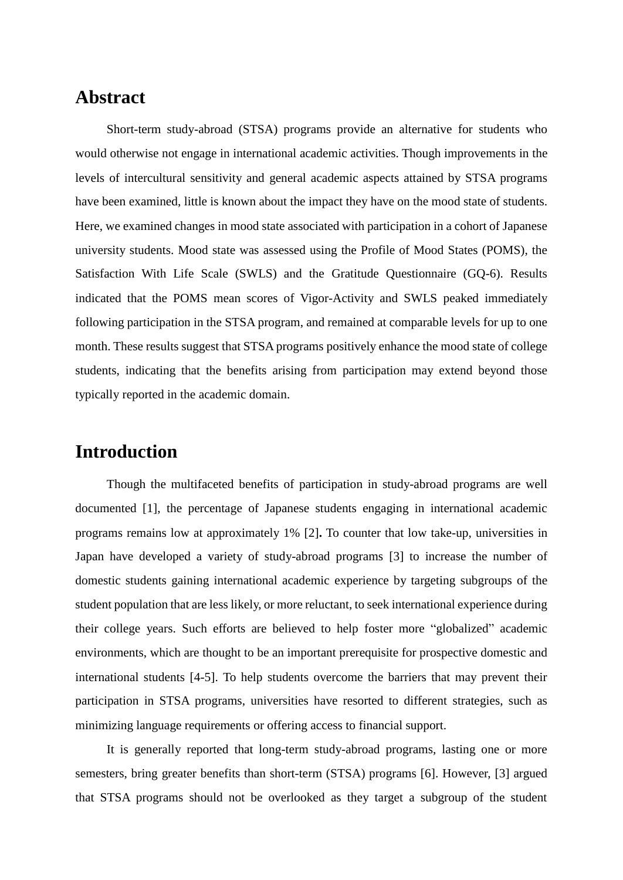### **Abstract**

Short-term study-abroad (STSA) programs provide an alternative for students who would otherwise not engage in international academic activities. Though improvements in the levels of intercultural sensitivity and general academic aspects attained by STSA programs have been examined, little is known about the impact they have on the mood state of students. Here, we examined changes in mood state associated with participation in a cohort of Japanese university students. Mood state was assessed using the Profile of Mood States (POMS), the Satisfaction With Life Scale (SWLS) and the Gratitude Questionnaire (GQ-6). Results indicated that the POMS mean scores of Vigor-Activity and SWLS peaked immediately following participation in the STSA program, and remained at comparable levels for up to one month. These results suggest that STSA programs positively enhance the mood state of college students, indicating that the benefits arising from participation may extend beyond those typically reported in the academic domain.

# **Introduction**

Though the multifaceted benefits of participation in study-abroad programs are well documented [1], the percentage of Japanese students engaging in international academic programs remains low at approximately 1% [2]**.** To counter that low take-up, universities in Japan have developed a variety of study-abroad programs [3] to increase the number of domestic students gaining international academic experience by targeting subgroups of the student population that are less likely, or more reluctant, to seek international experience during their college years. Such efforts are believed to help foster more "globalized" academic environments, which are thought to be an important prerequisite for prospective domestic and international students [4-5]. To help students overcome the barriers that may prevent their participation in STSA programs, universities have resorted to different strategies, such as minimizing language requirements or offering access to financial support.

It is generally reported that long-term study-abroad programs, lasting one or more semesters, bring greater benefits than short-term (STSA) programs [6]. However, [3] argued that STSA programs should not be overlooked as they target a subgroup of the student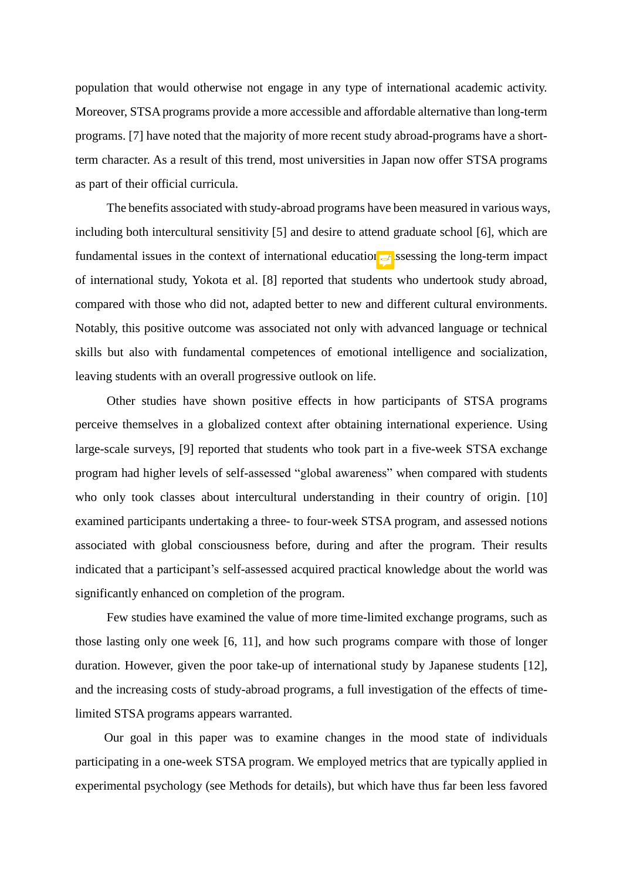population that would otherwise not engage in any type of international academic activity. Moreover, STSAprograms provide a more accessible and affordable alternative than long-term programs. [7] have noted that the majority of more recent study abroad-programs have a shortterm character. As a result of this trend, most universities in Japan now offer STSA programs as part of their official curricula.

The benefits associated with study-abroad programs have been measured in various ways, including both intercultural sensitivity [5] and desire to attend graduate school [6], which are fundamental issues in the context of international education.  $\rightarrow$  ssessing the long-term impact of international study, Yokota et al. [8] reported that students who undertook study abroad, compared with those who did not, adapted better to new and different cultural environments. Notably, this positive outcome was associated not only with advanced language or technical skills but also with fundamental competences of emotional intelligence and socialization, leaving students with an overall progressive outlook on life.

Other studies have shown positive effects in how participants of STSA programs perceive themselves in a globalized context after obtaining international experience. Using large-scale surveys, [9] reported that students who took part in a five-week STSA exchange program had higher levels of self-assessed "global awareness" when compared with students who only took classes about intercultural understanding in their country of origin. [10] examined participants undertaking a three- to four-week STSA program, and assessed notions associated with global consciousness before, during and after the program. Their results indicated that a participant's self-assessed acquired practical knowledge about the world was significantly enhanced on completion of the program.

Few studies have examined the value of more time-limited exchange programs, such as those lasting only one week [6, 11], and how such programs compare with those of longer duration. However, given the poor take-up of international study by Japanese students [12], and the increasing costs of study-abroad programs, a full investigation of the effects of timelimited STSA programs appears warranted.

Our goal in this paper was to examine changes in the mood state of individuals participating in a one-week STSA program. We employed metrics that are typically applied in experimental psychology (see Methods for details), but which have thus far been less favored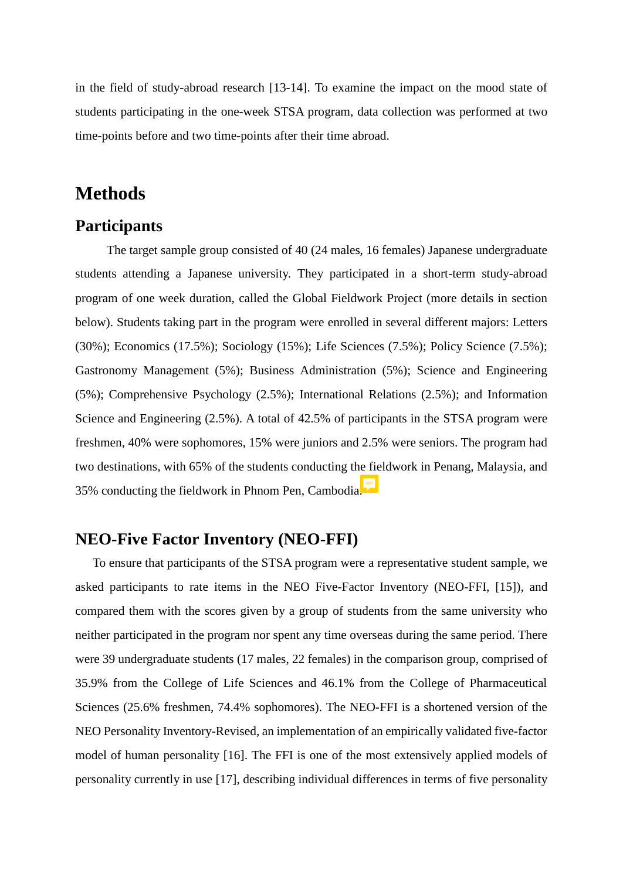in the field of study-abroad research [13-14]. To examine the impact on the mood state of students participating in the one-week STSA program, data collection was performed at two time-points before and two time-points after their time abroad.

# **Methods**

### **Participants**

The target sample group consisted of 40 (24 males, 16 females) Japanese undergraduate students attending a Japanese university. They participated in a short-term study-abroad program of one week duration, called the Global Fieldwork Project (more details in section below). Students taking part in the program were enrolled in several different majors: Letters (30%); Economics (17.5%); Sociology (15%); Life Sciences (7.5%); Policy Science (7.5%); Gastronomy Management (5%); Business Administration (5%); Science and Engineering (5%); Comprehensive Psychology (2.5%); International Relations (2.5%); and Information Science and Engineering (2.5%). A total of 42.5% of participants in the STSA program were freshmen, 40% were sophomores, 15% were juniors and 2.5% were seniors. The program had two destinations, with 65% of the students conducting the fieldwork in Penang, Malaysia, and 35% conducting the fieldwork in Phnom Pen, Cambodia.

## **NEO-Five Factor Inventory (NEO-FFI)**

To ensure that participants of the STSA program were a representative student sample, we asked participants to rate items in the NEO Five-Factor Inventory (NEO-FFI, [15]), and compared them with the scores given by a group of students from the same university who neither participated in the program nor spent any time overseas during the same period. There were 39 undergraduate students (17 males, 22 females) in the comparison group, comprised of 35.9% from the College of Life Sciences and 46.1% from the College of Pharmaceutical Sciences (25.6% freshmen, 74.4% sophomores). The NEO-FFI is a shortened version of the NEO Personality Inventory-Revised, an implementation of an empirically validated five-factor model of human personality [16]. The FFI is one of the most extensively applied models of personality currently in use [17], describing individual differences in terms of five personality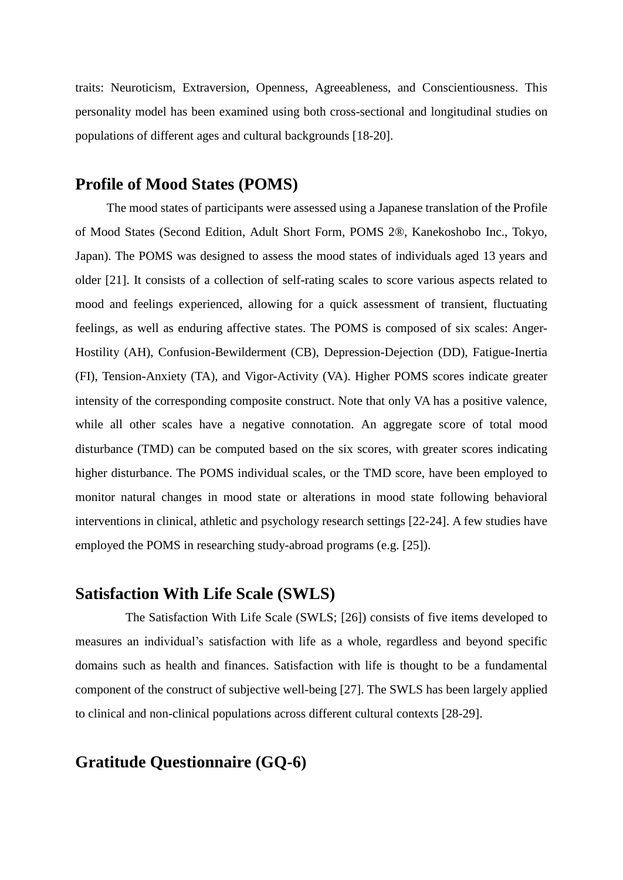traits: Neuroticism, Extraversion, Openness, Agreeableness, and Conscientiousness. This personality model has been examined using both cross-sectional and longitudinal studies on populations of different ages and cultural backgrounds [18-20].

### **Profile of Mood States (POMS)**

The mood states of participants were assessed using a Japanese translation of the Profile of Mood States (Second Edition, Adult Short Form, POMS 2®, Kanekoshobo Inc., Tokyo, Japan). The POMS was designed to assess the mood states of individuals aged 13 years and older [21]. It consists of a collection of self-rating scales to score various aspects related to mood and feelings experienced, allowing for a quick assessment of transient, fluctuating feelings, as well as enduring affective states. The POMS is composed of six scales: Anger-Hostility (AH), Confusion-Bewilderment (CB), Depression-Dejection (DD), Fatigue-Inertia (FI), Tension-Anxiety (TA), and Vigor-Activity (VA). Higher POMS scores indicate greater intensity of the corresponding composite construct. Note that only VA has a positive valence, while all other scales have a negative connotation. An aggregate score of total mood disturbance (TMD) can be computed based on the six scores, with greater scores indicating higher disturbance. The POMS individual scales, or the TMD score, have been employed to monitor natural changes in mood state or alterations in mood state following behavioral interventions in clinical, athletic and psychology research settings [22-24]. A few studies have employed the POMS in researching study-abroad programs (e.g. [25]).

### **Satisfaction With Life Scale (SWLS)**

The Satisfaction With Life Scale (SWLS; [26]) consists of five items developed to measures an individual's satisfaction with life as a whole, regardless and beyond specific domains such as health and finances. Satisfaction with life is thought to be a fundamental component of the construct of subjective well-being [27]. The SWLS has been largely applied to clinical and non-clinical populations across different cultural contexts [28-29].

### **Gratitude Questionnaire (GQ-6)**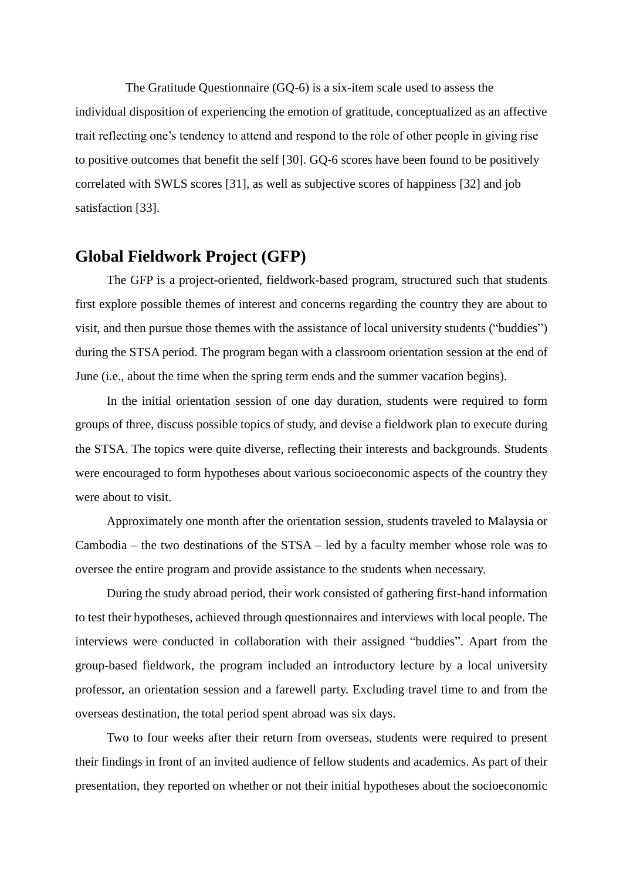The Gratitude Questionnaire (GQ-6) is a six-item scale used to assess the individual disposition of experiencing the emotion of gratitude, conceptualized as an affective trait reflecting one's tendency to attend and respond to the role of other people in giving rise to positive outcomes that benefit the self [30]. GQ-6 scores have been found to be positively correlated with SWLS scores [31], as well as subjective scores of happiness [32] and job satisfaction [33].

### **Global Fieldwork Project (GFP)**

The GFP is a project-oriented, fieldwork-based program, structured such that students first explore possible themes of interest and concerns regarding the country they are about to visit, and then pursue those themes with the assistance of local university students ("buddies") during the STSA period. The program began with a classroom orientation session at the end of June (i.e., about the time when the spring term ends and the summer vacation begins).

In the initial orientation session of one day duration, students were required to form groups of three, discuss possible topics of study, and devise a fieldwork plan to execute during the STSA. The topics were quite diverse, reflecting their interests and backgrounds. Students were encouraged to form hypotheses about various socioeconomic aspects of the country they were about to visit.

Approximately one month after the orientation session, students traveled to Malaysia or Cambodia – the two destinations of the STSA – led by a faculty member whose role was to oversee the entire program and provide assistance to the students when necessary.

During the study abroad period, their work consisted of gathering first-hand information to test their hypotheses, achieved through questionnaires and interviews with local people. The interviews were conducted in collaboration with their assigned "buddies". Apart from the group-based fieldwork, the program included an introductory lecture by a local university professor, an orientation session and a farewell party. Excluding travel time to and from the overseas destination, the total period spent abroad was six days.

Two to four weeks after their return from overseas, students were required to present their findings in front of an invited audience of fellow students and academics. As part of their presentation, they reported on whether or not their initial hypotheses about the socioeconomic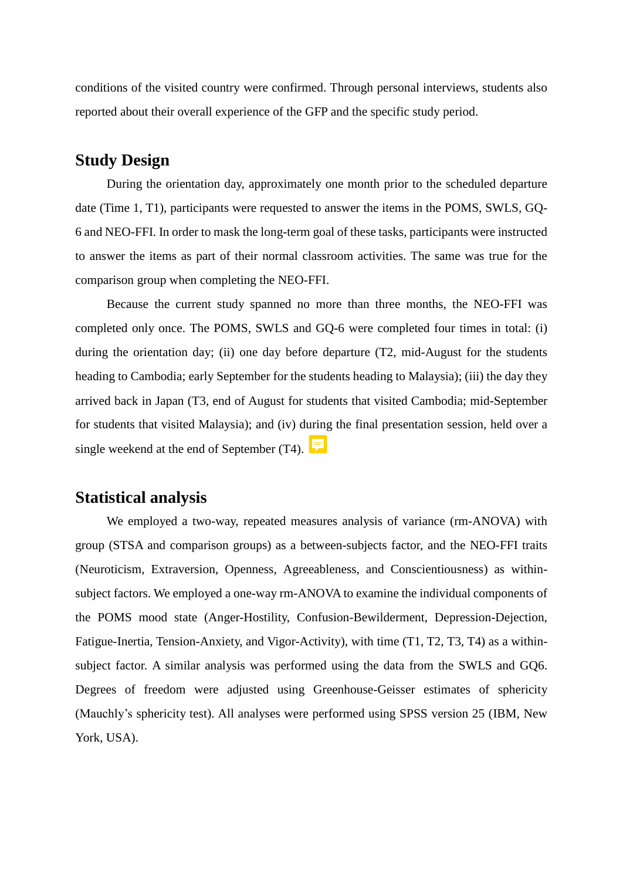conditions of the visited country were confirmed. Through personal interviews, students also reported about their overall experience of the GFP and the specific study period.

### **Study Design**

During the orientation day, approximately one month prior to the scheduled departure date (Time 1, T1), participants were requested to answer the items in the POMS, SWLS, GQ-6 and NEO-FFI. In order to mask the long-term goal of these tasks, participants were instructed to answer the items as part of their normal classroom activities. The same was true for the comparison group when completing the NEO-FFI.

Because the current study spanned no more than three months, the NEO-FFI was completed only once. The POMS, SWLS and GQ-6 were completed four times in total: (i) during the orientation day; (ii) one day before departure (T2, mid-August for the students heading to Cambodia; early September for the students heading to Malaysia); (iii) the day they arrived back in Japan (T3, end of August for students that visited Cambodia; mid-September for students that visited Malaysia); and (iv) during the final presentation session, held over a single weekend at the end of September (T4).

### **Statistical analysis**

We employed a two-way, repeated measures analysis of variance (rm-ANOVA) with group (STSA and comparison groups) as a between-subjects factor, and the NEO-FFI traits (Neuroticism, Extraversion, Openness, Agreeableness, and Conscientiousness) as withinsubject factors. We employed a one-way rm-ANOVA to examine the individual components of the POMS mood state (Anger-Hostility, Confusion-Bewilderment, Depression-Dejection, Fatigue-Inertia, Tension-Anxiety, and Vigor-Activity), with time (T1, T2, T3, T4) as a withinsubject factor. A similar analysis was performed using the data from the SWLS and GQ6. Degrees of freedom were adjusted using Greenhouse-Geisser estimates of sphericity (Mauchly's sphericity test). All analyses were performed using SPSS version 25 (IBM, New York, USA).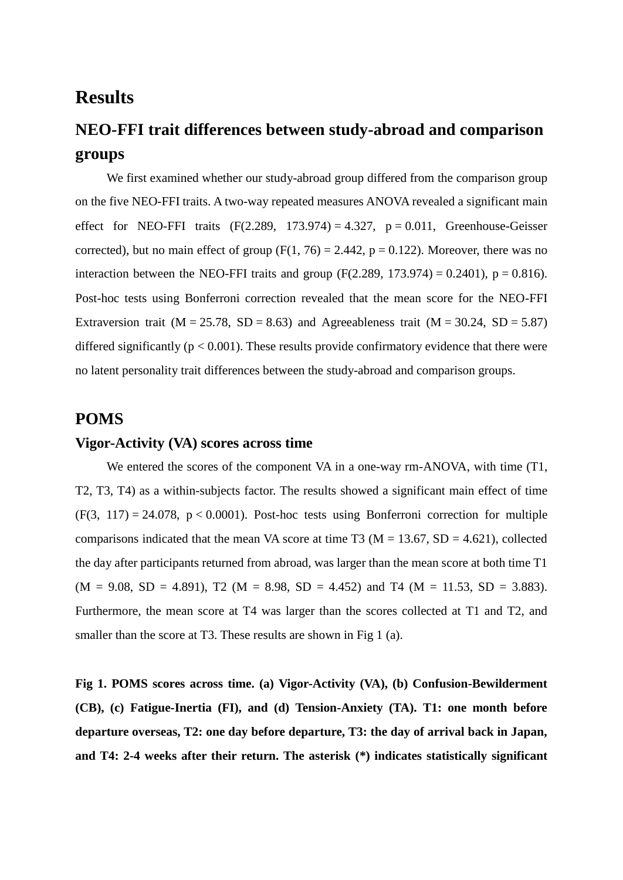# **Results**

# **NEO-FFI trait differences between study-abroad and comparison groups**

We first examined whether our study-abroad group differed from the comparison group on the five NEO-FFI traits. A two-way repeated measures ANOVA revealed a significant main effect for NEO-FFI traits  $(F(2.289, 173.974) = 4.327, p = 0.011$ , Greenhouse-Geisser corrected), but no main effect of group ( $F(1, 76) = 2.442$ ,  $p = 0.122$ ). Moreover, there was no interaction between the NEO-FFI traits and group  $(F(2.289, 173.974) = 0.2401)$ ,  $p = 0.816$ ). Post-hoc tests using Bonferroni correction revealed that the mean score for the NEO-FFI Extraversion trait ( $M = 25.78$ ,  $SD = 8.63$ ) and Agreeableness trait ( $M = 30.24$ ,  $SD = 5.87$ ) differed significantly ( $p < 0.001$ ). These results provide confirmatory evidence that there were no latent personality trait differences between the study-abroad and comparison groups.

### **POMS**

#### **Vigor-Activity (VA) scores across time**

We entered the scores of the component VA in a one-way rm-ANOVA, with time (T1, T2, T3, T4) as a within-subjects factor. The results showed a significant main effect of time  $(F(3, 117) = 24.078, p < 0.0001)$ . Post-hoc tests using Bonferroni correction for multiple comparisons indicated that the mean VA score at time T3 ( $M = 13.67$ , SD = 4.621), collected the day after participants returned from abroad, was larger than the mean score at both time T1  $(M = 9.08, SD = 4.891)$ , T2 (M = 8.98, SD = 4.452) and T4 (M = 11.53, SD = 3.883). Furthermore, the mean score at T4 was larger than the scores collected at T1 and T2, and smaller than the score at T3. These results are shown in Fig 1 (a).

**Fig 1. POMS scores across time. (a) Vigor-Activity (VA), (b) Confusion-Bewilderment (CB), (c) Fatigue-Inertia (FI), and (d) Tension-Anxiety (TA). T1: one month before departure overseas, T2: one day before departure, T3: the day of arrival back in Japan, and T4: 2-4 weeks after their return. The asterisk (\*) indicates statistically significant**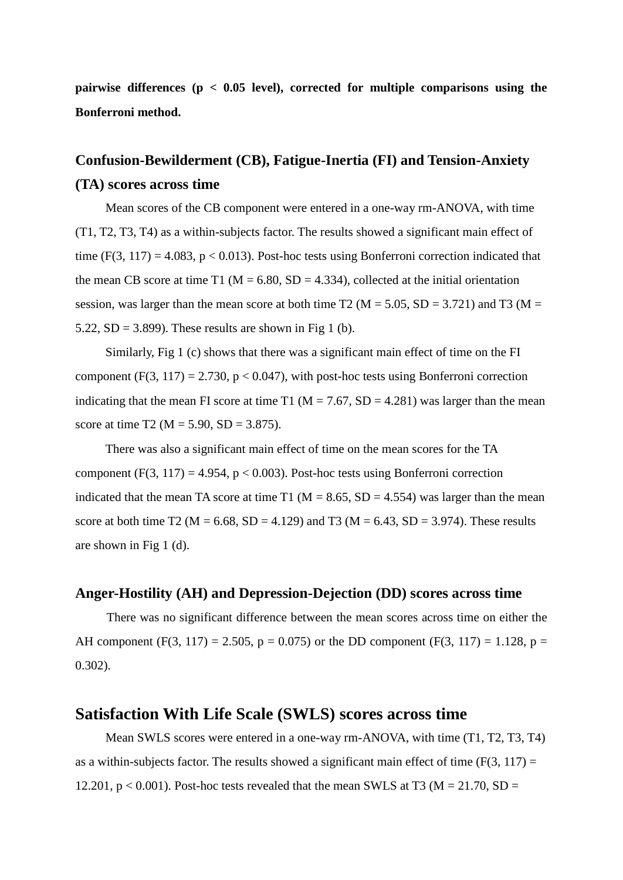**pairwise differences (p < 0.05 level), corrected for multiple comparisons using the Bonferroni method.**

# **Confusion-Bewilderment (CB), Fatigue-Inertia (FI) and Tension-Anxiety (TA) scores across time**

Mean scores of the CB component were entered in a one-way rm-ANOVA, with time (T1, T2, T3, T4) as a within-subjects factor. The results showed a significant main effect of time (F(3, 117) = 4.083,  $p < 0.013$ ). Post-hoc tests using Bonferroni correction indicated that the mean CB score at time T1 ( $M = 6.80$ , SD = 4.334), collected at the initial orientation session, was larger than the mean score at both time T2 ( $M = 5.05$ , SD = 3.721) and T3 ( $M =$ 5.22,  $SD = 3.899$ ). These results are shown in Fig 1 (b).

Similarly, Fig 1 (c) shows that there was a significant main effect of time on the FI component (F(3, 117) = 2.730,  $p < 0.047$ ), with post-hoc tests using Bonferroni correction indicating that the mean FI score at time T1 ( $M = 7.67$ , SD = 4.281) was larger than the mean score at time T2 ( $M = 5.90$ , SD = 3.875).

There was also a significant main effect of time on the mean scores for the TA component (F(3, 117) = 4.954,  $p < 0.003$ ). Post-hoc tests using Bonferroni correction indicated that the mean TA score at time T1 ( $M = 8.65$ , SD = 4.554) was larger than the mean score at both time T2 ( $M = 6.68$ ,  $SD = 4.129$ ) and T3 ( $M = 6.43$ ,  $SD = 3.974$ ). These results are shown in Fig 1 (d).

#### **Anger-Hostility (AH) and Depression-Dejection (DD) scores across time**

There was no significant difference between the mean scores across time on either the AH component (F(3, 117) = 2.505, p = 0.075) or the DD component (F(3, 117) = 1.128, p = 0.302).

### **Satisfaction With Life Scale (SWLS) scores across time**

Mean SWLS scores were entered in a one-way rm-ANOVA, with time (T1, T2, T3, T4) as a within-subjects factor. The results showed a significant main effect of time  $(F(3, 117)) =$ 12.201,  $p < 0.001$ ). Post-hoc tests revealed that the mean SWLS at T3 (M = 21.70, SD =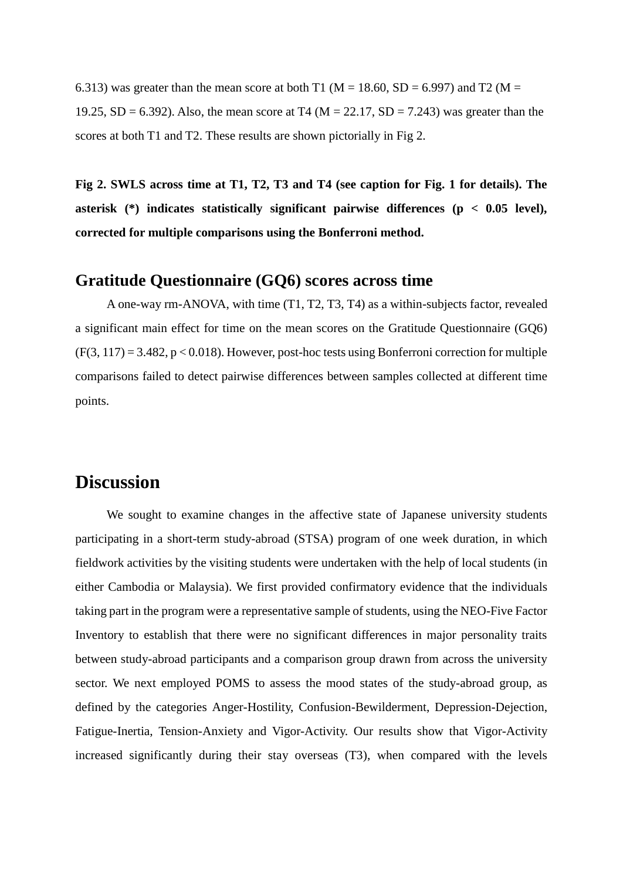6.313) was greater than the mean score at both T1 ( $M = 18.60$ , SD = 6.997) and T2 ( $M =$ 19.25, SD = 6.392). Also, the mean score at T4 ( $M = 22.17$ , SD = 7.243) was greater than the scores at both T1 and T2. These results are shown pictorially in Fig 2.

**Fig 2. SWLS across time at T1, T2, T3 and T4 (see caption for Fig. 1 for details). The asterisk (\*) indicates statistically significant pairwise differences (p < 0.05 level), corrected for multiple comparisons using the Bonferroni method.**

### **Gratitude Questionnaire (GQ6) scores across time**

A one-way rm-ANOVA, with time (T1, T2, T3, T4) as a within-subjects factor, revealed a significant main effect for time on the mean scores on the Gratitude Questionnaire (GQ6)  $(F(3, 117) = 3.482, p < 0.018)$ . However, post-hoc tests using Bonferroni correction for multiple comparisons failed to detect pairwise differences between samples collected at different time points.

# **Discussion**

We sought to examine changes in the affective state of Japanese university students participating in a short-term study-abroad (STSA) program of one week duration, in which fieldwork activities by the visiting students were undertaken with the help of local students (in either Cambodia or Malaysia). We first provided confirmatory evidence that the individuals taking part in the program were a representative sample of students, using the NEO-Five Factor Inventory to establish that there were no significant differences in major personality traits between study-abroad participants and a comparison group drawn from across the university sector. We next employed POMS to assess the mood states of the study-abroad group, as defined by the categories Anger-Hostility, Confusion-Bewilderment, Depression-Dejection, Fatigue-Inertia, Tension-Anxiety and Vigor-Activity. Our results show that Vigor-Activity increased significantly during their stay overseas (T3), when compared with the levels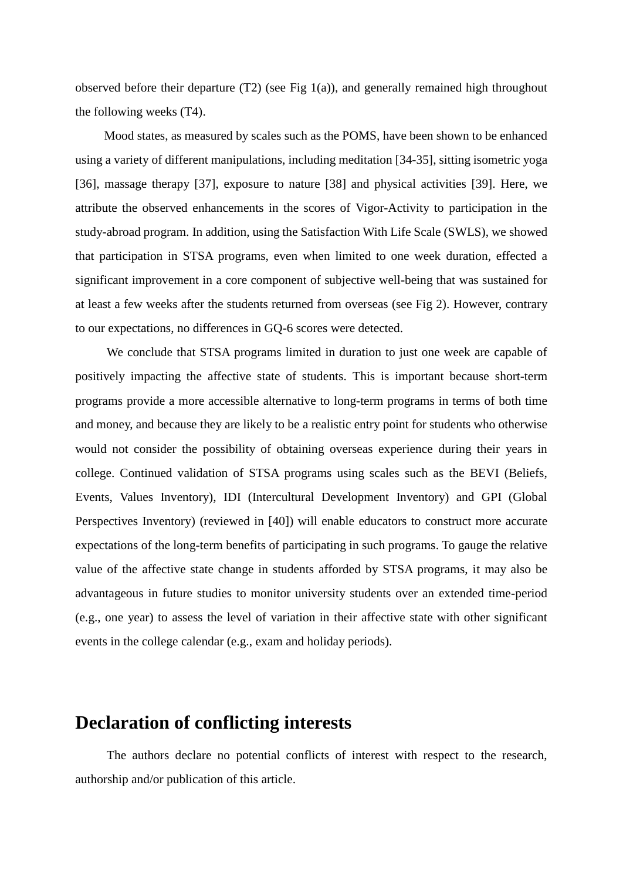observed before their departure (T2) (see Fig 1(a)), and generally remained high throughout the following weeks (T4).

Mood states, as measured by scales such as the POMS, have been shown to be enhanced using a variety of different manipulations, including meditation [34-35], sitting isometric yoga [36], massage therapy [37], exposure to nature [38] and physical activities [39]. Here, we attribute the observed enhancements in the scores of Vigor-Activity to participation in the study-abroad program. In addition, using the Satisfaction With Life Scale (SWLS), we showed that participation in STSA programs, even when limited to one week duration, effected a significant improvement in a core component of subjective well-being that was sustained for at least a few weeks after the students returned from overseas (see Fig 2). However, contrary to our expectations, no differences in GQ-6 scores were detected.

We conclude that STSA programs limited in duration to just one week are capable of positively impacting the affective state of students. This is important because short-term programs provide a more accessible alternative to long-term programs in terms of both time and money, and because they are likely to be a realistic entry point for students who otherwise would not consider the possibility of obtaining overseas experience during their years in college. Continued validation of STSA programs using scales such as the BEVI (Beliefs, Events, Values Inventory), IDI (Intercultural Development Inventory) and GPI (Global Perspectives Inventory) (reviewed in [40]) will enable educators to construct more accurate expectations of the long-term benefits of participating in such programs. To gauge the relative value of the affective state change in students afforded by STSA programs, it may also be advantageous in future studies to monitor university students over an extended time-period (e.g., one year) to assess the level of variation in their affective state with other significant events in the college calendar (e.g., exam and holiday periods).

# **Declaration of conflicting interests**

The authors declare no potential conflicts of interest with respect to the research, authorship and/or publication of this article.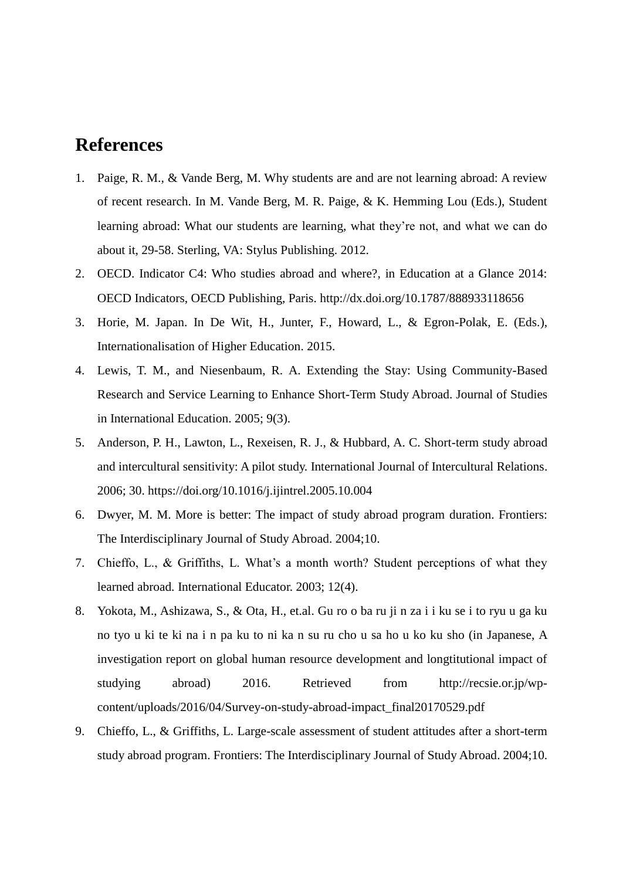# **References**

- 1. Paige, R. M., & Vande Berg, M. Why students are and are not learning abroad: A review of recent research. In M. Vande Berg, M. R. Paige, & K. Hemming Lou (Eds.), Student learning abroad: What our students are learning, what they're not, and what we can do about it, 29-58. Sterling, VA: Stylus Publishing. 2012.
- 2. OECD. Indicator C4: Who studies abroad and where?, in Education at a Glance 2014: OECD Indicators, OECD Publishing, Paris. http://dx.doi.org/10.1787/888933118656
- 3. Horie, M. Japan. In De Wit, H., Junter, F., Howard, L., & Egron-Polak, E. (Eds.), Internationalisation of Higher Education. 2015.
- 4. Lewis, T. M., and Niesenbaum, R. A. Extending the Stay: Using Community-Based Research and Service Learning to Enhance Short-Term Study Abroad. Journal of Studies in International Education. 2005; 9(3).
- 5. Anderson, P. H., Lawton, L., Rexeisen, R. J., & Hubbard, A. C. Short-term study abroad and intercultural sensitivity: A pilot study. International Journal of Intercultural Relations. 2006; 30. <https://doi.org/10.1016/j.ijintrel.2005.10.004>
- 6. Dwyer, M. M. More is better: The impact of study abroad program duration. Frontiers: The Interdisciplinary Journal of Study Abroad. 2004;10.
- 7. Chieffo, L., & Griffiths, L. What's a month worth? Student perceptions of what they learned abroad. International Educator. 2003; 12(4).
- 8. Yokota, M., Ashizawa, S., & Ota, H., et.al. Gu ro o ba ru ji n za i i ku se i to ryu u ga ku no tyo u ki te ki na i n pa ku to ni ka n su ru cho u sa ho u ko ku sho (in Japanese, A investigation report on global human resource development and longtitutional impact of studying abroad) 2016. Retrieved from http://recsie.or.jp/wpcontent/uploads/2016/04/Survey-on-study-abroad-impact\_final20170529.pdf
- 9. Chieffo, L., & Griffiths, L. Large-scale assessment of student attitudes after a short-term study abroad program. Frontiers: The Interdisciplinary Journal of Study Abroad. 2004;10.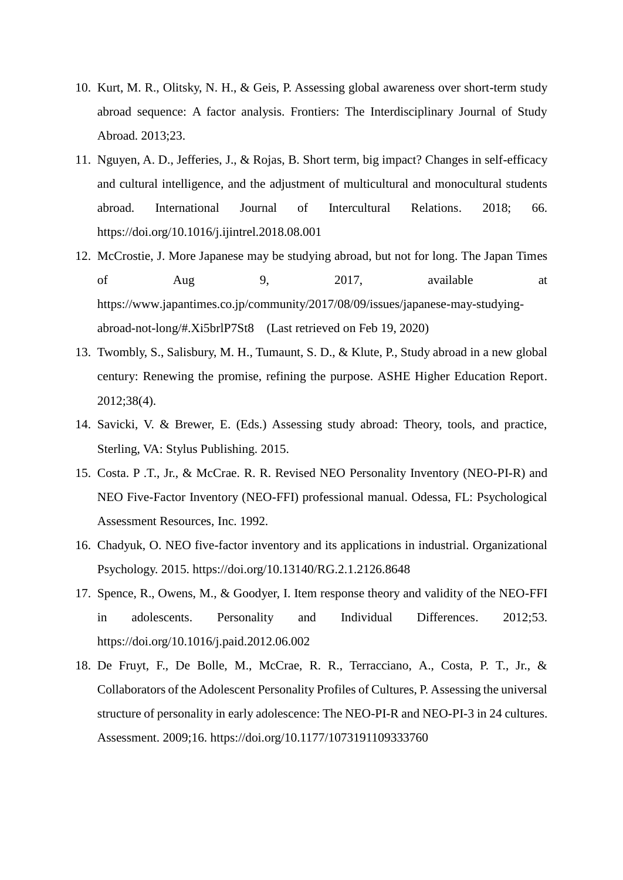- 10. Kurt, M. R., Olitsky, N. H., & Geis, P. Assessing global awareness over short-term study abroad sequence: A factor analysis. Frontiers: The Interdisciplinary Journal of Study Abroad. 2013;23.
- 11. Nguyen, A. D., Jefferies, J., & Rojas, B. Short term, big impact? Changes in self-efficacy and cultural intelligence, and the adjustment of multicultural and monocultural students abroad. International Journal of Intercultural Relations. 2018; 66. <https://doi.org/10.1016/j.ijintrel.2018.08.001>
- 12. McCrostie, J. More Japanese may be studying abroad, but not for long. The Japan Times of Aug 9, 2017, available at https://www.japantimes.co.jp/community/2017/08/09/issues/japanese-may-studyingabroad-not-long/#.Xi5brlP7St8 (Last retrieved on Feb 19, 2020)
- 13. Twombly, S., Salisbury, M. H., Tumaunt, S. D., & Klute, P., Study abroad in a new global century: Renewing the promise, refining the purpose. ASHE Higher Education Report. 2012;38(4).
- 14. Savicki, V. & Brewer, E. (Eds.) Assessing study abroad: Theory, tools, and practice, Sterling, VA: Stylus Publishing. 2015.
- 15. Costa. P .T., Jr., & McCrae. R. R. Revised NEO Personality Inventory (NEO-PI-R) and NEO Five-Factor Inventory (NEO-FFI) professional manual. Odessa, FL: Psychological Assessment Resources, Inc. 1992.
- 16. Chadyuk, O. NEO five-factor inventory and its applications in industrial. Organizational Psychology. 2015. https://doi.org/10.13140/RG.2.1.2126.8648
- 17. Spence, R., Owens, M., & Goodyer, I. Item response theory and validity of the NEO-FFI in adolescents. Personality and Individual Differences. 2012;53. <https://doi.org/10.1016/j.paid.2012.06.002>
- 18. De Fruyt, F., De Bolle, M., McCrae, R. R., Terracciano, A., Costa, P. T., Jr., & Collaborators of the Adolescent Personality Profiles of Cultures, P. Assessing the universal structure of personality in early adolescence: The NEO-PI-R and NEO-PI-3 in 24 cultures. Assessment. 2009;16. [https://doi.org/10.1177/1073191109333760](https://doi.org/10.1177%2F1073191109333760)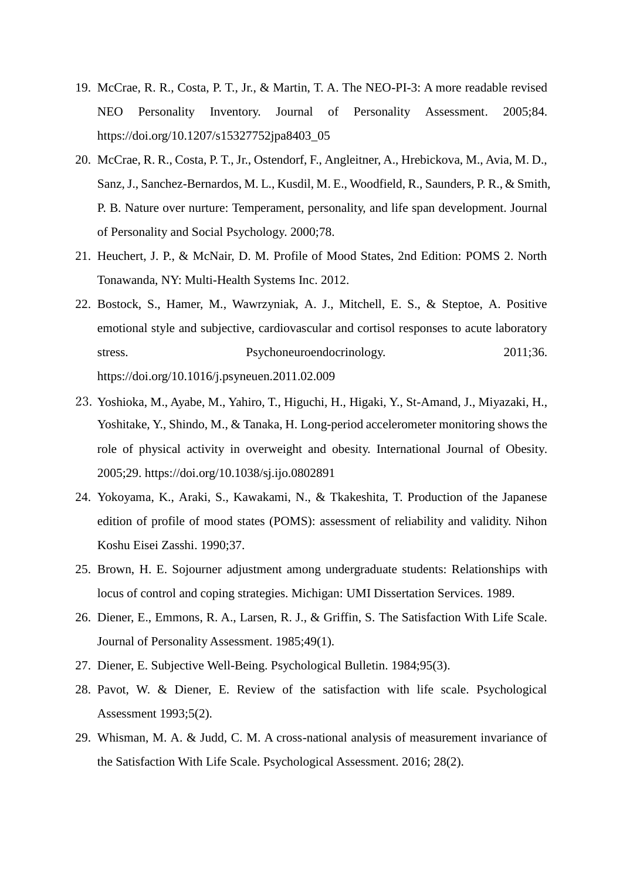- 19. McCrae, R. R., Costa, P. T., Jr., & Martin, T. A. The NEO-PI-3: A more readable revised NEO Personality Inventory. Journal of Personality Assessment. 2005;84. [https://doi.org/10.1207/s15327752jpa8403\\_05](https://doi.org/10.1207/s15327752jpa8403_05)
- 20. McCrae, R. R., Costa, P. T., Jr., Ostendorf, F., Angleitner, A., Hrebickova, M., Avia, M. D., Sanz, J., Sanchez-Bernardos, M. L., Kusdil, M. E., Woodfield, R., Saunders, P. R., & Smith, P. B. Nature over nurture: Temperament, personality, and life span development. Journal of Personality and Social Psychology. 2000;78.
- 21. Heuchert, J. P., & McNair, D. M. Profile of Mood States, 2nd Edition: POMS 2. North Tonawanda, NY: Multi-Health Systems Inc. 2012.
- 22. Bostock, S., Hamer, M., Wawrzyniak, A. J., Mitchell, E. S., & Steptoe, A. Positive emotional style and subjective, cardiovascular and cortisol responses to acute laboratory stress. Psychoneuroendocrinology. 2011;36. <https://doi.org/10.1016/j.psyneuen.2011.02.009>
- 23. Yoshioka, M., Ayabe, M., Yahiro, T., Higuchi, H., Higaki, Y., St-Amand, J., Miyazaki, H., Yoshitake, Y., Shindo, M., & Tanaka, H. Long-period accelerometer monitoring shows the role of physical activity in overweight and obesity. International Journal of Obesity. 2005;29.<https://doi.org/10.1038/sj.ijo.0802891>
- 24. Yokoyama, K., Araki, S., Kawakami, N., & Tkakeshita, T. Production of the Japanese edition of profile of mood states (POMS): assessment of reliability and validity. Nihon Koshu Eisei Zasshi. 1990;37.
- 25. Brown, H. E. Sojourner adjustment among undergraduate students: Relationships with locus of control and coping strategies. Michigan: UMI Dissertation Services. 1989.
- 26. Diener, E., Emmons, R. A., Larsen, R. J., & Griffin, S. The Satisfaction With Life Scale. Journal of Personality Assessment. 1985;49(1).
- 27. Diener, E. Subjective Well-Being. Psychological Bulletin. 1984;95(3).
- 28. Pavot, W. & Diener, E. Review of the satisfaction with life scale. Psychological Assessment 1993;5(2).
- 29. Whisman, M. A. & Judd, C. M. A cross-national analysis of measurement invariance of the Satisfaction With Life Scale. Psychological Assessment. 2016; 28(2).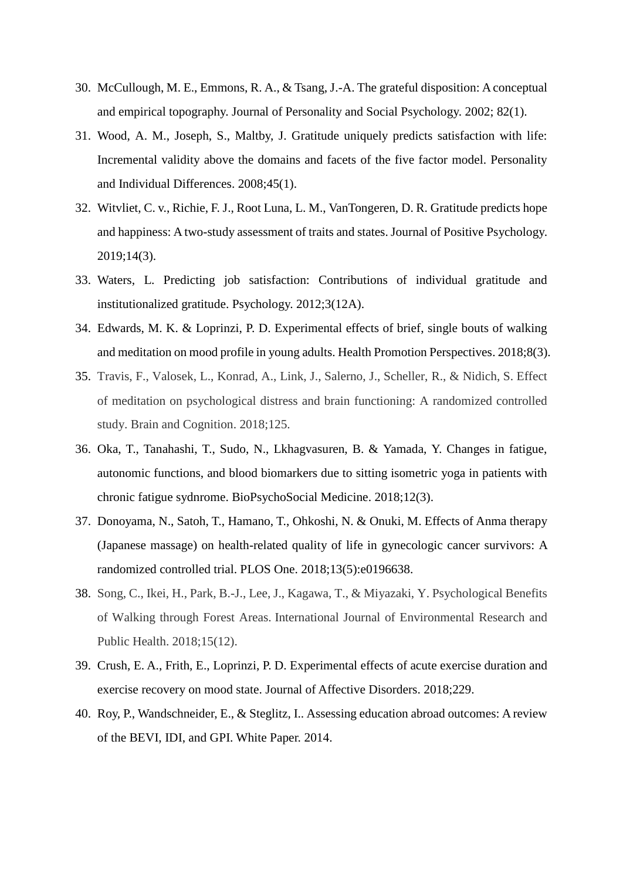- 30. McCullough, M. E., Emmons, R. A., & Tsang, J.-A. The grateful disposition: A conceptual and empirical topography. Journal of Personality and Social Psychology. 2002; 82(1).
- 31. Wood, A. M., Joseph, S., Maltby, J. Gratitude uniquely predicts satisfaction with life: Incremental validity above the domains and facets of the five factor model. Personality and Individual Differences. 2008;45(1).
- 32. Witvliet, C. v., Richie, F. J., Root Luna, L. M., VanTongeren, D. R. Gratitude predicts hope and happiness: A two-study assessment of traits and states. Journal of Positive Psychology. 2019;14(3).
- 33. Waters, L. Predicting job satisfaction: Contributions of individual gratitude and institutionalized gratitude. Psychology. 2012;3(12A).
- 34. Edwards, M. K. & Loprinzi, P. D. Experimental effects of brief, single bouts of walking and meditation on mood profile in young adults. Health Promotion Perspectives. 2018;8(3).
- 35. Travis, F., Valosek, L., Konrad, A., Link, J., Salerno, J., Scheller, R., & Nidich, S. Effect of meditation on psychological distress and brain functioning: A randomized controlled study. Brain and Cognition. 2018;125.
- 36. Oka, T., Tanahashi, T., Sudo, N., Lkhagvasuren, B. & Yamada, Y. Changes in fatigue, autonomic functions, and blood biomarkers due to sitting isometric yoga in patients with chronic fatigue sydnrome. BioPsychoSocial Medicine. 2018;12(3).
- 37. Donoyama, N., Satoh, T., Hamano, T., Ohkoshi, N. & Onuki, M. Effects of Anma therapy (Japanese massage) on health-related quality of life in gynecologic cancer survivors: A randomized controlled trial. PLOS One. 2018;13(5):e0196638.
- 38. Song, C., Ikei, H., Park, B.-J., Lee, J., Kagawa, T., & Miyazaki, Y. Psychological Benefits of Walking through Forest Areas. International Journal of Environmental Research and Public Health. 2018;15(12).
- 39. Crush, E. A., Frith, E., Loprinzi, P. D. Experimental effects of acute exercise duration and exercise recovery on mood state. Journal of Affective Disorders. 2018;229.
- 40. Roy, P., Wandschneider, E., & Steglitz, I.. Assessing education abroad outcomes: A review of the BEVI, IDI, and GPI. White Paper. 2014.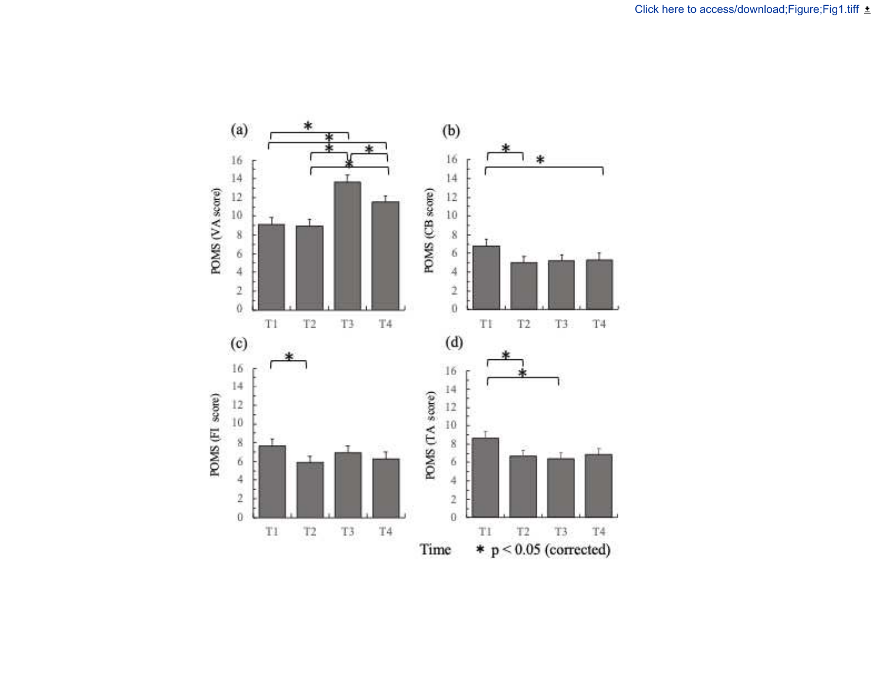